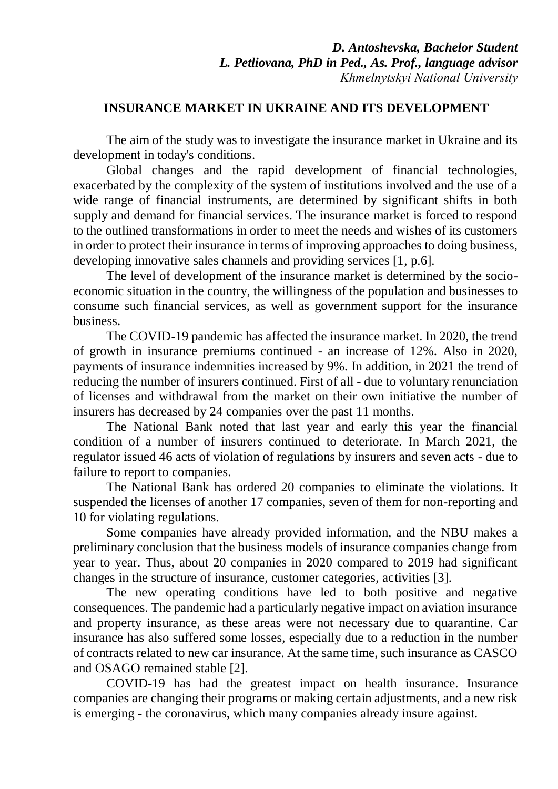## **INSURANCE MARKET IN UKRAINE AND ITS DEVELOPMENT**

The aim of the study was to investigate the insurance market in Ukraine and its development in today's conditions.

Global changes and the rapid development of financial technologies, exacerbated by the complexity of the system of institutions involved and the use of a wide range of financial instruments, are determined by significant shifts in both supply and demand for financial services. The insurance market is forced to respond to the outlined transformations in order to meet the needs and wishes of its customers in order to protect their insurance in terms of improving approaches to doing business, developing innovative sales channels and providing services [1, p.6].

The level of development of the insurance market is determined by the socioeconomic situation in the country, the willingness of the population and businesses to consume such financial services, as well as government support for the insurance business.

The COVID-19 pandemic has affected the insurance market. In 2020, the trend of growth in insurance premiums continued - an increase of 12%. Also in 2020, payments of insurance indemnities increased by 9%. In addition, in 2021 the trend of reducing the number of insurers continued. First of all - due to voluntary renunciation of licenses and withdrawal from the market on their own initiative the number of insurers has decreased by 24 companies over the past 11 months.

The National Bank noted that last year and early this year the financial condition of a number of insurers continued to deteriorate. In March 2021, the regulator issued 46 acts of violation of regulations by insurers and seven acts - due to failure to report to companies.

The National Bank has ordered 20 companies to eliminate the violations. It suspended the licenses of another 17 companies, seven of them for non-reporting and 10 for violating regulations.

Some companies have already provided information, and the NBU makes a preliminary conclusion that the business models of insurance companies change from year to year. Thus, about 20 companies in 2020 compared to 2019 had significant changes in the structure of insurance, customer categories, activities [3].

The new operating conditions have led to both positive and negative consequences. The pandemic had a particularly negative impact on aviation insurance and property insurance, as these areas were not necessary due to quarantine. Car insurance has also suffered some losses, especially due to a reduction in the number of contracts related to new car insurance. At the same time, such insurance as CASCO and OSAGO remained stable [2].

COVID-19 has had the greatest impact on health insurance. Insurance companies are changing their programs or making certain adjustments, and a new risk is emerging - the coronavirus, which many companies already insure against.